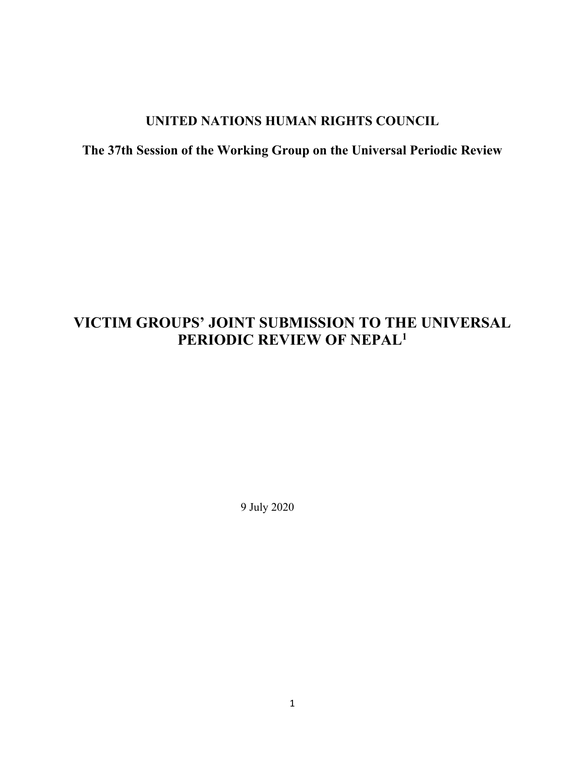# **UNITED NATIONS HUMAN RIGHTS COUNCIL**

# **The 37th Session of the Working Group on the Universal Periodic Review**

# **VICTIM GROUPS' JOINT SUBMISSION TO THE UNIVERSAL PERIODIC REVIEW OF NEPAL<sup>1</sup>**

9 July 2020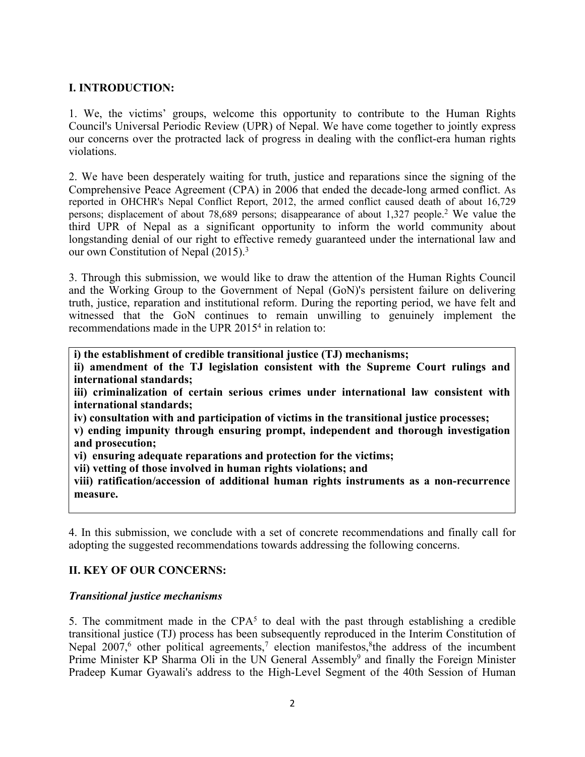## **I. INTRODUCTION:**

1. We, the victims' groups, welcome this opportunity to contribute to the Human Rights Council's Universal Periodic Review (UPR) of Nepal. We have come together to jointly express our concerns over the protracted lack of progress in dealing with the conflict-era human rights violations.

2. We have been desperately waiting for truth, justice and reparations since the signing of the Comprehensive Peace Agreement (CPA) in 2006 that ended the decade-long armed conflict. As reported in OHCHR's Nepal Conflict Report, 2012, the armed conflict caused death of about 16,729 persons; displacement of about 78,689 persons; disappearance of about 1,327 people. <sup>2</sup> We value the third UPR of Nepal as <sup>a</sup> significant opportunity to inform the world community about longstanding denial of our right to effective remedy guaranteed under the international law and our own Constitution of Nepal (2015). 3

3. Through this submission, we would like to draw the attention of the Human Rights Council and the Working Group to the Government of Nepal (GoN)'s persistent failure on delivering truth, justice, reparation and institutional reform. During the reporting period, we have felt and witnessed that the GoN continues to remain unwilling to genuinely implement the recommendations made in the UPR 2015<sup>4</sup> in relation to:

**i) the establishment of credible transitional justice (TJ) mechanisms;**

**ii) amendment of the TJ legislation consistent with the Supreme Court rulings and international standards;**

**iii) criminalization of certain serious crimes under international law consistent with international standards;**

**iv) consultation with and participation of victims in the transitional justice processes;**

**v) ending impunity through ensuring prompt, independent and thorough investigation and prosecution;**

**vi) ensuring adequate reparations and protection for the victims;**

**vii) vetting of those involved in human rights violations; and**

**viii) ratification/accession of additional human rights instruments as <sup>a</sup> non-recurrence measure.**

4. In this submission, we conclude with <sup>a</sup> set of concrete recommendations and finally call for adopting the suggested recommendations towards addressing the following concerns.

## **II. KEY OF OUR CONCERNS:**

## *Transitional justice mechanisms*

5. The commitment made in the  $CPA<sup>5</sup>$  to deal with the past through establishing a credible transitional justice (TJ) process has been subsequently reproduced in the Interim Constitution of Nepal 2007,<sup>6</sup> other political agreements,<sup>7</sup> election manifestos, <sup>8</sup>the address of the incumbent Prime Minister KP Sharma Oli in the UN General Assembly<sup>9</sup> and finally the Foreign Minister Pradeep Kumar Gyawali's address to the High-Level Segment of the 40th Session of Human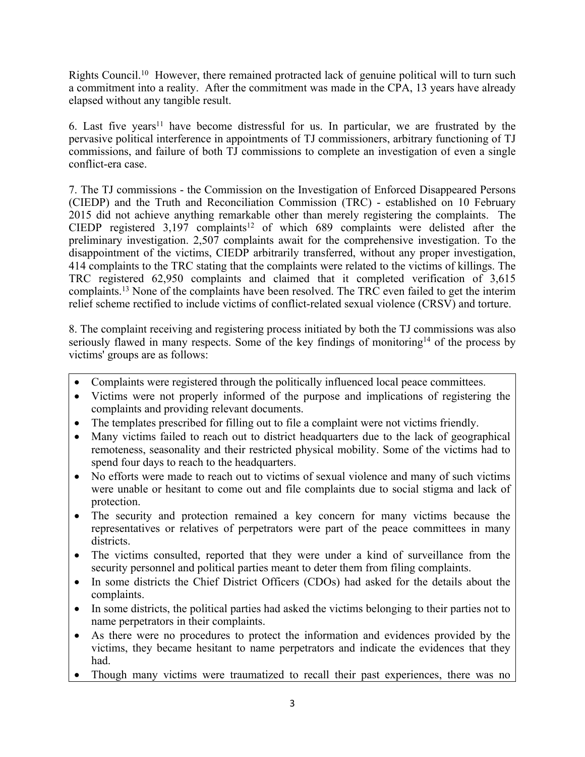Rights Council.<sup>10</sup> However, there remained protracted lack of genuine political will to turn such <sup>a</sup> commitment into <sup>a</sup> reality. After the commitment was made in the CPA, 13 years have already elapsed without any tangible result.

6. Last five years<sup>11</sup> have become distressful for us. In particular, we are frustrated by the pervasive political interference in appointments of TJ commissioners, arbitrary functioning of TJ commissions, and failure of both TJ commissions to complete an investigation of even <sup>a</sup> single conflict-era case.

7. The TJ commissions - the Commission on the Investigation of Enforced Disappeared Persons (CIEDP) and the Truth and Reconciliation Commission (TRC) - established on 10 February 2015 did not achieve anything remarkable other than merely registering the complaints. The CIEDP registered  $3,197$  complaints<sup>12</sup> of which 689 complaints were delisted after the preliminary investigation. 2,507 complaints await for the comprehensive investigation. To the disappointment of the victims, CIEDP arbitrarily transferred, without any proper investigation, 414 complaints to the TRC stating that the complaints were related to the victims of killings. The TRC registered 62,950 complaints and claimed that it completed verification of 3,615 complaints. <sup>13</sup> None of the complaints have been resolved. The TRC even failed to ge<sup>t</sup> the interim relief scheme rectified to include victims of conflict-related sexual violence (CRSV) and torture.

8. The complaint receiving and registering process initiated by both the TJ commissions was also seriously flawed in many respects. Some of the key findings of monitoring<sup>14</sup> of the process by victims' groups are as follows:

- 0 Complaints were registered through the politically influenced local peace committees.
- 0 Victims were not properly informed of the purpose and implications of registering the complaints and providing relevant documents.
- The templates prescribed for filling out to file <sup>a</sup> complaint were not victims friendly.
- $\bullet$  Many victims failed to reach out to district headquarters due to the lack of geographical remoteness, seasonality and their restricted physical mobility. Some of the victims had to spend four days to reach to the headquarters.
- $\bullet$  No efforts were made to reach out to victims of sexual violence and many of such victims were unable or hesitant to come out and file complaints due to social stigma and lack of protection.
- $\bullet$  The security and protection remained <sup>a</sup> key concern for many victims because the representatives or relatives of perpetrators were par<sup>t</sup> of the peace committees in many districts.
- $\bullet$  The victims consulted, reported that they were under <sup>a</sup> kind of surveillance from the security personnel and political parties meant to deter them from filing complaints.
- $\bullet$  In some districts the Chief District Officers (CDOs) had asked for the details about the complaints.
- $\bullet$  In some districts, the political parties had asked the victims belonging to their parties not to name perpetrators in their complaints.
- As there were no procedures to protect the information and evidences provided by the victims, they became hesitant to name perpetrators and indicate the evidences that they had.
- Though many victims were traumatized to recall their pas<sup>t</sup> experiences, there was no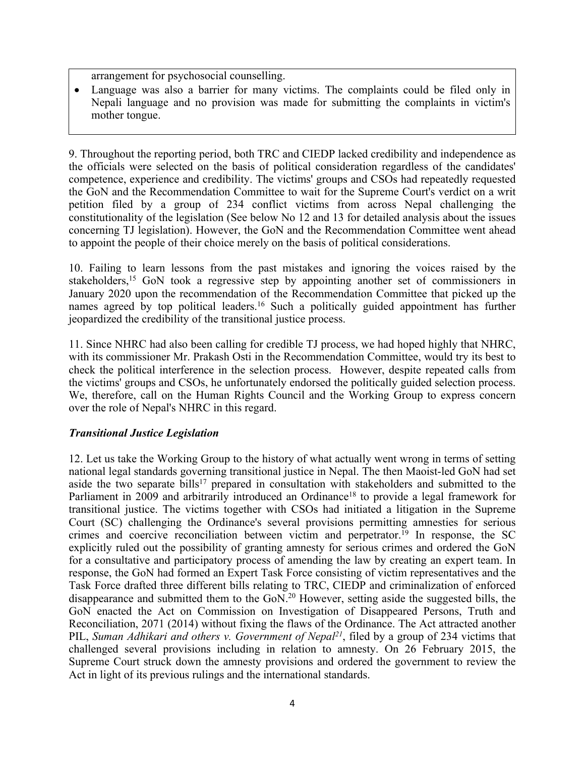arrangemen<sup>t</sup> for psychosocial counselling.

 $\bullet$  Language was also <sup>a</sup> barrier for many victims. The complaints could be filed only in Nepali language and no provision was made for submitting the complaints in victim's mother tongue.

9. Throughout the reporting period, both TRC and CIEDP lacked credibility and independence as the officials were selected on the basis of political consideration regardless of the candidates' competence, experience and credibility. The victims' groups and CSOs had repeatedly requested the GoN and the Recommendation Committee to wait for the Supreme Court's verdict on <sup>a</sup> writ petition filed by <sup>a</sup> group of 234 conflict victims from across Nepal challenging the constitutionality of the legislation (See below No 12 and 13 for detailed analysis about the issues concerning TJ legislation). However, the GoN and the Recommendation Committee went ahead to appoint the people of their choice merely on the basis of political considerations.

10. Failing to learn lessons from the pas<sup>t</sup> mistakes and ignoring the voices raised by the stakeholders, <sup>15</sup> GoN took <sup>a</sup> regressive step by appointing another set of commissioners in January 2020 upon the recommendation of the Recommendation Committee that picked up the names agreed by top political leaders.<sup>16</sup> Such a politically guided appointment has further jeopardized the credibility of the transitional justice process.

11. Since NHRC had also been calling for credible TJ process, we had hoped highly that NHRC, with its commissioner Mr. Prakash Osti in the Recommendation Committee, would try its best to check the political interference in the selection process. However, despite repeated calls from the victims' groups and CSOs, he unfortunately endorsed the politically guided selection process. We, therefore, call on the Human Rights Council and the Working Group to express concern over the role of Nepal's NHRC in this regard.

## *Transitional Justice Legislation*

12. Let us take the Working Group to the history of what actually went wrong in terms of setting national legal standards governing transitional justice in Nepal. The then Maoist-led GoN had set aside the two separate bills<sup>17</sup> prepared in consultation with stakeholders and submitted to the Parliament in 2009 and arbitrarily introduced an Ordinance<sup>18</sup> to provide a legal framework for transitional justice. The victims together with CSOs had initiated <sup>a</sup> litigation in the Supreme Court (SC) challenging the Ordinance's several provisions permitting amnesties for serious crimes and coercive reconciliation between victim and perpetrator. 19 In response, the SC explicitly ruled out the possibility of granting amnesty for serious crimes and ordered the GoN for <sup>a</sup> consultative and participatory process of amending the law by creating an exper<sup>t</sup> team. In response, the GoN had formed an Expert Task Force consisting of victim representatives and the Task Force drafted three different bills relating to TRC, CIEDP and criminalization of enforced disappearance and submitted them to the GoN. <sup>20</sup> However, setting aside the suggested bills, the GoN enacted the Act on Commission on Investigation of Disappeared Persons, Truth and Reconciliation, 2071 (2014) without fixing the flaws of the Ordinance. The Act attracted another PIL, *Suman Adhikari and others v. Government of Nepal 21* , filed by <sup>a</sup> group of 234 victims that challenged several provisions including in relation to amnesty. On 26 February 2015, the Supreme Court struck down the amnesty provisions and ordered the governmen<sup>t</sup> to review the Act in light of its previous rulings and the international standards.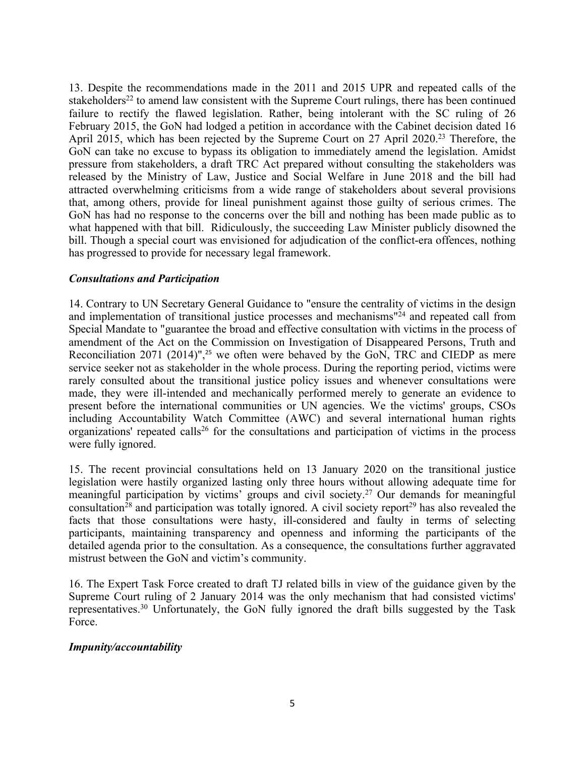13. Despite the recommendations made in the 2011 and 2015 UPR and repeated calls of the stakeholders<sup>22</sup> to amend law consistent with the Supreme Court rulings, there has been continued failure to rectify the flawed legislation. Rather, being intolerant with the SC ruling of 26 February 2015, the GoN had lodged <sup>a</sup> petition in accordance with the Cabinet decision dated 16 April 2015, which has been rejected by the Supreme Court on 27 April 2020.<sup>23</sup> Therefore, the GoN can take no excuse to bypass its obligation to immediately amend the legislation. Amidst pressure from stakeholders, <sup>a</sup> draft TRC Act prepared without consulting the stakeholders was released by the Ministry of Law, Justice and Social Welfare in June 2018 and the bill had attracted overwhelming criticisms from <sup>a</sup> wide range of stakeholders about several provisions that, among others, provide for lineal punishment against those guilty of serious crimes. The GoN has had no response to the concerns over the bill and nothing has been made public as to what happened with that bill. Ridiculously, the succeeding Law Minister publicly disowned the bill. Though <sup>a</sup> special court was envisioned for adjudication of the conflict-era offences, nothing has progressed to provide for necessary legal framework.

## *Consultations and Participation*

14. Contrary to UN Secretary General Guidance to "ensure the centrality of victims in the design and implementation of transitional justice processes and mechanisms" 24 and repeated call from Special Mandate to "guarantee the broad and effective consultation with victims in the process of amendment of the Act on the Commission on Investigation of Disappeared Persons, Truth and Reconciliation 2071 (2014)", <sup>25</sup> we often were behaved by the GoN, TRC and CIEDP as mere service seeker not as stakeholder in the whole process. During the reporting period, victims were rarely consulted about the transitional justice policy issues and whenever consultations were made, they were ill-intended and mechanically performed merely to generate an evidence to presen<sup>t</sup> before the international communities or UN agencies. We the victims' groups, CSOs including Accountability Watch Committee (AWC) and several international human rights organizations' repeated calls 26 for the consultations and participation of victims in the process were fully ignored.

15. The recent provincial consultations held on 13 January 2020 on the transitional justice legislation were hastily organized lasting only three hours without allowing adequate time for meaningful participation by victims' groups and civil society. <sup>27</sup> Our demands for meaningful consultation<sup>28</sup> and participation was totally ignored. A civil society report<sup>29</sup> has also revealed the facts that those consultations were hasty, ill-considered and faulty in terms of selecting participants, maintaining transparency and openness and informing the participants of the detailed agenda prior to the consultation. As <sup>a</sup> consequence, the consultations further aggravated mistrust between the GoN and victim'<sup>s</sup> community.

16. The Expert Task Force created to draft TJ related bills in view of the guidance given by the Supreme Court ruling of 2 January 2014 was the only mechanism that had consisted victims' representatives. <sup>30</sup> Unfortunately, the GoN fully ignored the draft bills suggested by the Task Force.

#### *Impunity/accountability*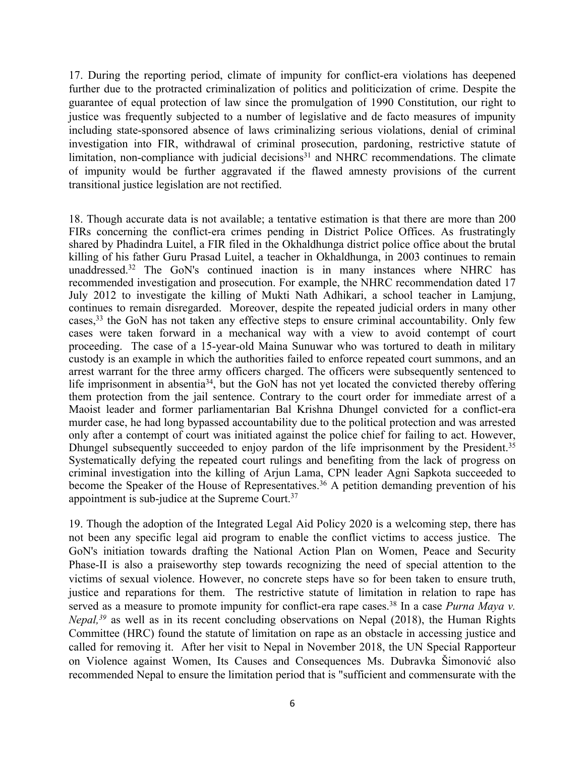17. During the reporting period, climate of impunity for conflict-era violations has deepened further due to the protracted criminalization of politics and politicization of crime. Despite the guarantee of equal protection of law since the promulgation of 1990 Constitution, our right to justice was frequently subjected to <sup>a</sup> number of legislative and de facto measures of impunity including state-sponsored absence of laws criminalizing serious violations, denial of criminal investigation into FIR, withdrawal of criminal prosecution, pardoning, restrictive statute of limitation, non-compliance with judicial decisions<sup>31</sup> and NHRC recommendations. The climate of impunity would be further aggravated if the flawed amnesty provisions of the current transitional justice legislation are not rectified.

18. Though accurate data is not available; <sup>a</sup> tentative estimation is that there are more than 200 FIRs concerning the conflict-era crimes pending in District Police Offices. As frustratingly shared by Phadindra Luitel, <sup>a</sup> FIR filed in the Okhaldhunga district police office about the brutal killing of his father Guru Prasad Luitel, <sup>a</sup> teacher in Okhaldhunga, in 2003 continues to remain unaddressed. 32 The GoN's continued inaction is in many instances where NHRC has recommended investigation and prosecution. For example, the NHRC recommendation dated 17 July 2012 to investigate the killing of Mukti Nath Adhikari, <sup>a</sup> school teacher in Lamjung, continues to remain disregarded. Moreover, despite the repeated judicial orders in many other cases, 33 the GoN has not taken any effective steps to ensure criminal accountability. Only few cases were taken forward in <sup>a</sup> mechanical way with <sup>a</sup> view to avoid contempt of court proceeding. The case of <sup>a</sup> 15-year-old Maina Sunuwar who was tortured to death in military custody is an example in which the authorities failed to enforce repeated court summons, and an arrest warrant for the three army officers charged. The officers were subsequently sentenced to life imprisonment in absentia<sup>34</sup>, but the GoN has not yet located the convicted thereby offering them protection from the jail sentence. Contrary to the court order for immediate arrest of <sup>a</sup> Maoist leader and former parliamentarian Bal Krishna Dhungel convicted for <sup>a</sup> conflict-era murder case, he had long bypassed accountability due to the political protection and was arrested only after <sup>a</sup> contempt of court was initiated against the police chief for failing to act. However, Dhungel subsequently succeeded to enjoy pardon of the life imprisonment by the President.<sup>35</sup> Systematically defying the repeated court rulings and benefiting from the lack of progress on criminal investigation into the killing of Arjun Lama, CPN leader Agni Sapkota succeeded to become the Speaker of the House of Representatives. <sup>36</sup> <sup>A</sup> petition demanding prevention of his appointment is sub-judice at the Supreme Court.<sup>37</sup>

19. Though the adoption of the Integrated Legal Aid Policy 2020 is <sup>a</sup> welcoming step, there has not been any specific legal aid program to enable the conflict victims to access justice. The GoN's initiation towards drafting the National Action Plan on Women, Peace and Security Phase-II is also <sup>a</sup> praiseworthy step towards recognizing the need of special attention to the victims of sexual violence. However, no concrete steps have so for been taken to ensure truth, justice and reparations for them. The restrictive statute of limitation in relation to rape has served as <sup>a</sup> measure to promote impunity for conflict-era rape cases. 38 In <sup>a</sup> case *Purna Maya v. Nepal*,<sup>39</sup> as well as in its recent concluding observations on Nepal (2018), the Human Rights Committee (HRC) found the statute of limitation on rape as an obstacle in accessing justice and called for removing it. After her visit to Nepal in November 2018, the UN Special Rapporteur on Violence against Women, Its Causes and Consequences Ms. Dubravka Šimonovi<sup>ć</sup> also recommended Nepal to ensure the limitation period that is "sufficient and commensurate with the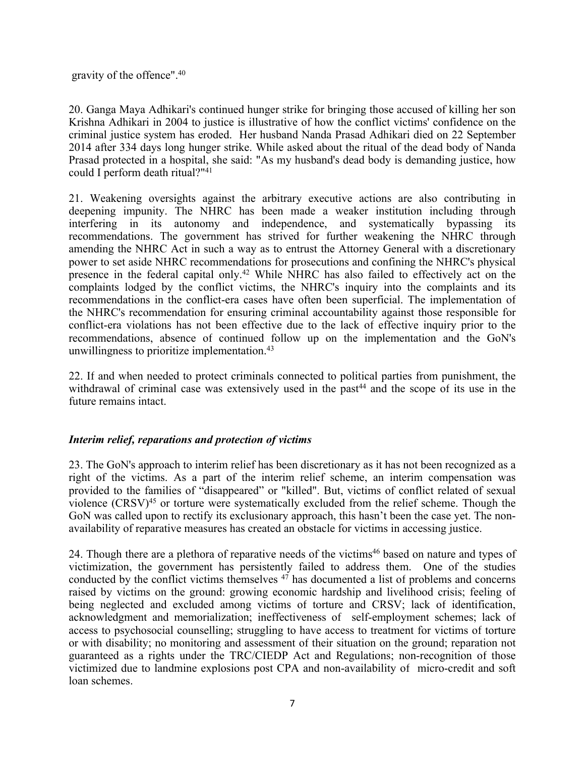gravity of the offence". 40

20. Ganga Maya Adhikari's continued hunger strike for bringing those accused of killing her son Krishna Adhikari in 2004 to justice is illustrative of how the conflict victims' confidence on the criminal justice system has eroded. Her husband Nanda Prasad Adhikari died on 22 September 2014 after 334 days long hunger strike. While asked about the ritual of the dead body of Nanda Prasad protected in <sup>a</sup> hospital, she said: "As my husband's dead body is demanding justice, how could I perform death ritual?" 41

21. Weakening oversights against the arbitrary executive actions are also contributing in deepening impunity. The NHRC has been made <sup>a</sup> weaker institution including through interfering in its autonomy and independence, and systematically bypassing its recommendations. The governmen<sup>t</sup> has strived for further weakening the NHRC through amending the NHRC Act in such <sup>a</sup> way as to entrust the Attorney General with <sup>a</sup> discretionary power to set aside NHRC recommendations for prosecutions and confining the NHRC's physical presence in the federal capital only.<sup>42</sup> While NHRC has also failed to effectively act on the complaints lodged by the conflict victims, the NHRC's inquiry into the complaints and its recommendations in the conflict-era cases have often been superficial. The implementation of the NHRC's recommendation for ensuring criminal accountability against those responsible for conflict-era violations has not been effective due to the lack of effective inquiry prior to the recommendations, absence of continued follow up on the implementation and the GoN's unwillingness to prioritize implementation. 43

22. If and when needed to protect criminals connected to political parties from punishment, the withdrawal of criminal case was extensively used in the past<sup>44</sup> and the scope of its use in the future remains intact.

## *Interim relief, reparations and protection of victims*

23. The GoN's approach to interim relief has been discretionary as it has not been recognized as <sup>a</sup> right of the victims. As <sup>a</sup> par<sup>t</sup> of the interim relief scheme, an interim compensation was provided to the families of "disappeared" or "killed". But, victims of conflict related of sexual violence (CRSV)<sup>45</sup> or torture were systematically excluded from the relief scheme. Though the GoN was called upon to rectify its exclusionary approach, this hasn'<sup>t</sup> been the case yet. The nonavailability of reparative measures has created an obstacle for victims in accessing justice.

24. Though there are <sup>a</sup> plethora of reparative needs of the victims 46 based on nature and types of victimization, the governmen<sup>t</sup> has persistently failed to address them. One of the studies conducted by the conflict victims themselves 47 has documented <sup>a</sup> list of problems and concerns raised by victims on the ground: growing economic hardship and livelihood crisis; feeling of being neglected and excluded among victims of torture and CRSV; lack of identification, acknowledgment and memorialization; ineffectiveness of self-employment schemes; lack of access to psychosocial counselling; struggling to have access to treatment for victims of torture or with disability; no monitoring and assessment of their situation on the ground; reparation not guaranteed as <sup>a</sup> rights under the TRC/CIEDP Act and Regulations; non-recognition of those victimized due to landmine explosions pos<sup>t</sup> CPA and non-availability of micro-credit and soft loan schemes.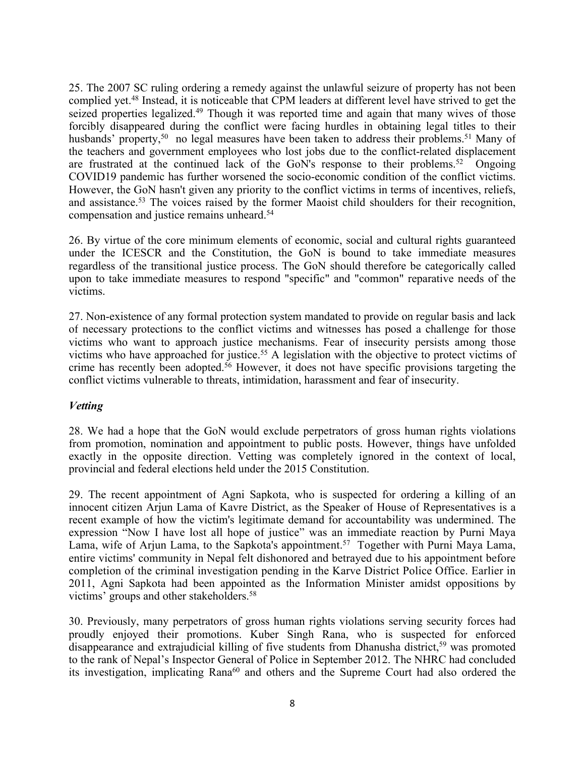25. The 2007 SC ruling ordering <sup>a</sup> remedy against the unlawful seizure of property has not been complied yet. 48 Instead, it is noticeable that CPM leaders at different level have strived to ge<sup>t</sup> the seized properties legalized.<sup>49</sup> Though it was reported time and again that many wives of those forcibly disappeared during the conflict were facing hurdles in obtaining legal titles to their husbands' property,<sup>50</sup> no legal measures have been taken to address their problems.<sup>51</sup> Many of the teachers and governmen<sup>t</sup> employees who lost jobs due to the conflict-related displacement are frustrated at the continued lack of the GoN's response to their problems.<sup>52</sup> Ongoing COVID19 pandemic has further worsened the socio-economic condition of the conflict victims. However, the GoN hasn't given any priority to the conflict victims in terms of incentives, reliefs, and assistance.<sup>53</sup> The voices raised by the former Maoist child shoulders for their recognition, compensation and justice remains unheard. 54

26. By virtue of the core minimum elements of economic, social and cultural rights guaranteed under the ICESCR and the Constitution, the GoN is bound to take immediate measures regardless of the transitional justice process. The GoN should therefore be categorically called upon to take immediate measures to respond "specific" and "common" reparative needs of the victims.

27. Non-existence of any formal protection system mandated to provide on regular basis and lack of necessary protections to the conflict victims and witnesses has posed <sup>a</sup> challenge for those victims who want to approach justice mechanisms. Fear of insecurity persists among those victims who have approached for justice. <sup>55</sup> A legislation with the objective to protect victims of crime has recently been adopted. <sup>56</sup> However, it does not have specific provisions targeting the conflict victims vulnerable to threats, intimidation, harassment and fear of insecurity.

## *Vetting*

28. We had <sup>a</sup> hope that the GoN would exclude perpetrators of gross human rights violations from promotion, nomination and appointment to public posts. However, things have unfolded exactly in the opposite direction. Vetting was completely ignored in the context of local, provincial and federal elections held under the 2015 Constitution.

29. The recent appointment of Agni Sapkota, who is suspected for ordering <sup>a</sup> killing of an innocent citizen Arjun Lama of Kavre District, as the Speaker of House of Representatives is <sup>a</sup> recent example of how the victim's legitimate demand for accountability was undermined. The expression "Now I have lost all hope of justice" was an immediate reaction by Purni Maya Lama, wife of Arjun Lama, to the Sapkota's appointment. 57 Together with Purni Maya Lama, entire victims' community in Nepal felt dishonored and betrayed due to his appointment before completion of the criminal investigation pending in the Karve District Police Office. Earlier in 2011, Agni Sapkota had been appointed as the Information Minister amidst oppositions by victims' groups and other stakeholders. 58

30. Previously, many perpetrators of gross human rights violations serving security forces had proudly enjoyed their promotions. Kuber Singh Rana, who is suspected for enforced disappearance and extrajudicial killing of five students from Dhanusha district, <sup>59</sup> was promoted to the rank of Nepal'<sup>s</sup> Inspector General of Police in September 2012. The NHRC had concluded its investigation, implicating Rana<sup>60</sup> and others and the Supreme Court had also ordered the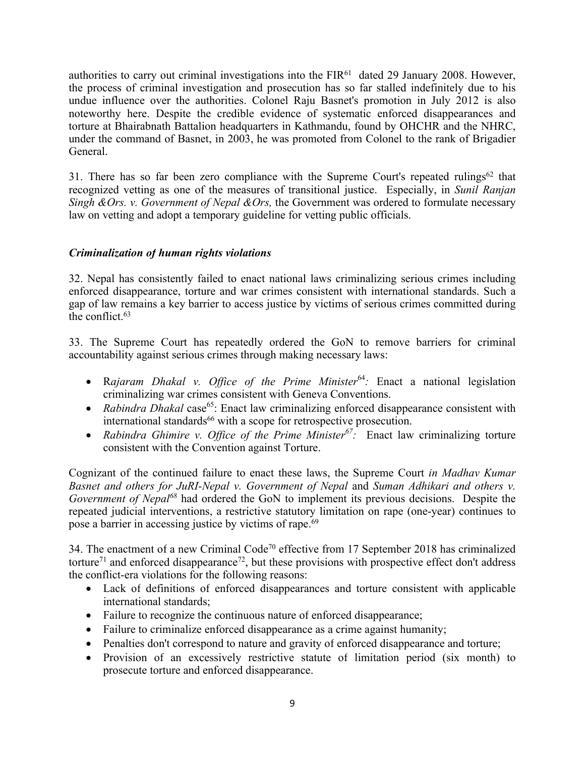authorities to carry out criminal investigations into the  $FIR<sup>61</sup>$  dated 29 January 2008. However, the process of criminal investigation and prosecution has so far stalled indefinitely due to his undue influence over the authorities. Colonel Raju Basnet's promotion in July 2012 is also noteworthy here. Despite the credible evidence of systematic enforced disappearances and torture at Bhairabnath Battalion headquarters in Kathmandu, found by OHCHR and the NHRC, under the command of Basnet, in 2003, he was promoted from Colonel to the rank of Brigadier General.

31. There has so far been zero compliance with the Supreme Court's repeated rulings<sup>62</sup> that recognized vetting as one of the measures of transitional justice. Especially, in *Sunil Ranjan Singh &Ors. v. Government of Nepal &Ors,* the Government was ordered to formulate necessary law on vetting and adopt <sup>a</sup> temporary guideline for vetting public officials.

# *Criminalization of human rights violations*

32. Nepal has consistently failed to enact national laws criminalizing serious crimes including enforced disappearance, torture and war crimes consistent with international standards. Such <sup>a</sup> gap of law remains <sup>a</sup> key barrier to access justice by victims of serious crimes committed during the conflict. 63

33. The Supreme Court has repeatedly ordered the GoN to remove barriers for criminal accountability against serious crimes through making necessary laws:

- R*ajaram Dhakal v. Office of the Prime Minister* 64 *:* Enact <sup>a</sup> national legislation criminalizing war crimes consistent with Geneva Conventions.
- Rabindra Dhakal case<sup>65</sup>: Enact law criminalizing enforced disappearance consistent with international standards <sup>66</sup> with <sup>a</sup> scope for retrospective prosecution.
- *Rabindra Ghimire v. Office of the Prime Minister 67 :* Enact law criminalizing torture consistent with the Convention against Torture.

Cognizant of the continued failure to enact these laws, the Supreme Court *in Madhav Kumar Basnet and others for JuRI-Nepal v. Government of Nepal* and *Suman Adhikari and others v. Government of Nepal*<sup>68</sup> had ordered the GoN to implement its previous decisions. Despite the repeated judicial interventions, <sup>a</sup> restrictive statutory limitation on rape (one-year) continues to pose <sup>a</sup> barrier in accessing justice by victims of rape. 69

34. The enactment of a new Criminal Code<sup>70</sup> effective from 17 September 2018 has criminalized torture<sup>71</sup> and enforced disappearance<sup>72</sup>, but these provisions with prospective effect don't address the conflict-era violations for the following reasons:

- Lack of definitions of enforced disappearances and torture consistent with applicable international standards;
- Failure to recognize the continuous nature of enforced disappearance;
- Failure to criminalize enforced disappearance as a crime against humanity;
- Penalties don't correspond to nature and gravity of enforced disappearance and torture;
- Provision of an excessively restrictive statute of limitation period (six month) to prosecute torture and enforced disappearance.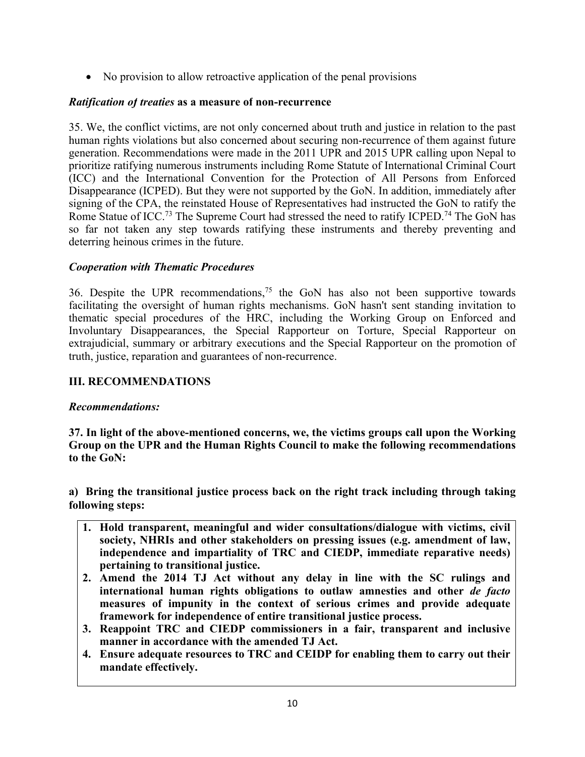• No provision to allow retroactive application of the penal provisions

# *Ratification of treaties* **as <sup>a</sup> measure of non-recurrence**

35. We, the conflict victims, are not only concerned about truth and justice in relation to the pas<sup>t</sup> human rights violations but also concerned about securing non-recurrence of them against future generation. Recommendations were made in the 2011 UPR and 2015 UPR calling upon Nepal to prioritize ratifying numerous instruments including Rome Statute of International Criminal Court (ICC) and the International Convention for the Protection of All Persons from Enforced Disappearance (ICPED). But they were not supported by the GoN. In addition, immediately after signing of the CPA, the reinstated House of Representatives had instructed the GoN to ratify the Rome Statue of ICC.<sup>73</sup> The Supreme Court had stressed the need to ratify ICPED.<sup>74</sup> The GoN has so far not taken any step towards ratifying these instruments and thereby preventing and deterring heinous crimes in the future.

# *Cooperation with Thematic Procedures*

36. Despite the UPR recommendations, 75 the GoN has also not been supportive towards facilitating the oversight of human rights mechanisms. GoN hasn't sent standing invitation to thematic special procedures of the HRC, including the Working Group on Enforced and Involuntary Disappearances, the Special Rapporteur on Torture, Special Rapporteur on extrajudicial, summary or arbitrary executions and the Special Rapporteur on the promotion of truth, justice, reparation and guarantees of non-recurrence.

# **III. RECOMMENDATIONS**

# *Recommendations:*

**37. In light of the above-mentioned concerns, we, the victims groups call upon the Working Group on the UPR and the Human Rights Council to make the following recommendations to the GoN:**

**a) Bring the transitional justice process back on the right track including through taking following steps:**

- **1. Hold transparent, meaningful and wider consultations/dialogue with victims, civil society, NHRIs and other stakeholders on pressing issues (e.g. amendment of law, independence and impartiality of TRC and CIEDP, immediate reparative needs) pertaining to transitional justice.**
- **2. Amend the 2014 TJ Act without any delay in line with the SC rulings and international human rights obligations to outlaw amnesties and other** *de facto* **measures of impunity in the context of serious crimes and provide adequate framework for independence of entire transitional justice process.**
- **3. Reappoint TRC and CIEDP commissioners in <sup>a</sup> fair, transparent and inclusive manner in accordance with the amended TJ Act.**
- **4. Ensure adequate resources to TRC and CEIDP for enabling them to carry out their mandate effectively.**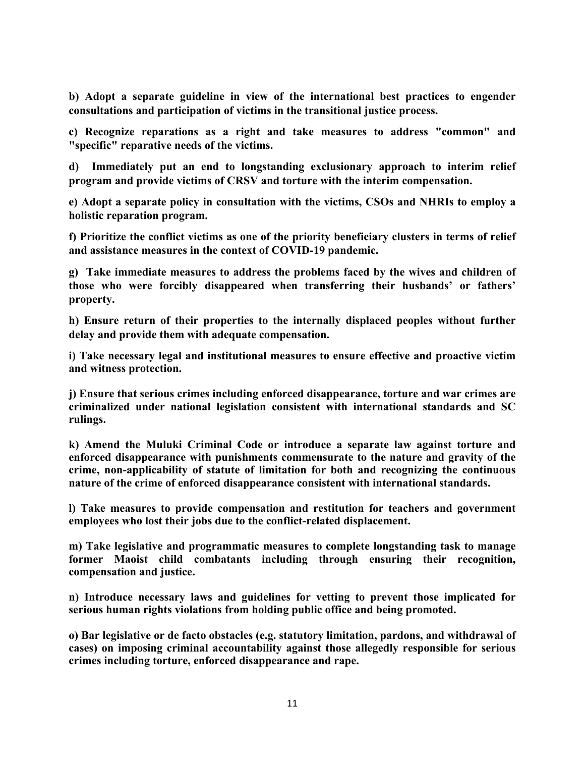**b) Adopt <sup>a</sup> separate guideline in view of the international best practices to engender consultations and participation of victims in the transitional justice process.**

**c) Recognize reparations as <sup>a</sup> right and take measures to address "common" and "specific" reparative needs of the victims.**

**d) Immediately put an end to longstanding exclusionary approach to interim relief program and provide victims of CRSV and torture with the interim compensation.**

**e) Adopt <sup>a</sup> separate policy in consultation with the victims, CSOs and NHRIs to employ <sup>a</sup> holistic reparation program.**

**f) Prioritize the conflict victims as one of the priority beneficiary clusters in terms of relief and assistance measures in the context of COVID-19 pandemic.**

**g) Take immediate measures to address the problems faced by the wives and children of those who were forcibly disappeared when transferring their husbands' or fathers' property.**

**h) Ensure return of their properties to the internally displaced peoples without further delay and provide them with adequate compensation.**

**i) Take necessary legal and institutional measures to ensure effective and proactive victim and witness protection.**

**j) Ensure that serious crimes including enforced disappearance, torture and war crimes are criminalized under national legislation consistent with international standards and SC rulings.**

**k) Amend the Muluki Criminal Code or introduce <sup>a</sup> separate law against torture and enforced disappearance with punishments commensurate to the nature and gravity of the crime, non-applicability of statute of limitation for both and recognizing the continuous nature of the crime of enforced disappearance consistent with international standards.**

**l) Take measures to provide compensation and restitution for teachers and government employees who lost their jobs due to the conflict-related displacement.**

**m) Take legislative and programmatic measures to complete longstanding task to manage former Maoist child combatants including through ensuring their recognition, compensation and justice.**

**n) Introduce necessary laws and guidelines for vetting to prevent those implicated for serious human rights violations from holding public office and being promoted.**

**o) Bar legislative or de facto obstacles (e.g. statutory limitation, pardons, and withdrawal of cases) on imposing criminal accountability against those allegedly responsible for serious crimes including torture, enforced disappearance and rape.**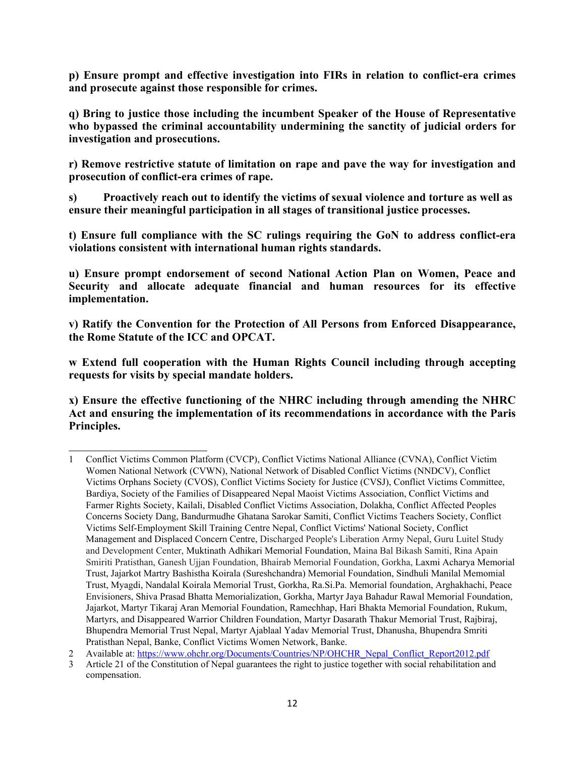**p) Ensure prompt and effective investigation into FIRs in relation to conflict-era crimes and prosecute against those responsible for crimes.**

**q) Bring to justice those including the incumbent Speaker of the House of Representative who bypassed the criminal accountability undermining the sanctity of judicial orders for investigation and prosecutions.**

**r) Remove restrictive statute of limitation on rape and pave the way for investigation and prosecution of conflict-era crimes of rape.**

**s) Proactively reach out to identify the victims of sexual violence and torture as well as ensure their meaningful participation in all stages of transitional justice processes.**

**t) Ensure full compliance with the SC rulings requiring the GoN to address conflict-era violations consistent with international human rights standards.**

**u) Ensure prompt endorsement of second National Action Plan on Women, Peace and Security and allocate adequate financial and human resources for its effective implementation.**

**v) Ratify the Convention for the Protection of All Persons from Enforced Disappearance, the Rome Statute of the ICC and OPCAT.**

**<sup>w</sup> Extend full cooperation with the Human Rights Council including through accepting requests for visits by special mandate holders.**

**x) Ensure the effective functioning of the NHRC including through amending the NHRC Act and ensuring the implementation of its recommendations in accordance with the Paris Principles.**

<sup>1</sup> Conflict Victims Common Platform (CVCP), Conflict Victims National Alliance (CVNA), Conflict Victim Women National Network (CVWN), National Network of Disabled Conflict Victims (NNDCV), Conflict Victims Orphans Society (CVOS), Conflict Victims Society for Justice (CVSJ), Conflict Victims Committee, Bardiya, Society of the Families of Disappeared Nepal Maoist Victims Association, Conflict Victims and Farmer Rights Society, Kailali, Disabled Conflict Victims Association, Dolakha, Conflict Affected Peoples Concerns Society Dang, Bandurmudhe Ghatana Sarokar Samiti, Conflict Victims Teachers Society, Conflict Victims Self-Employment Skill Training Centre Nepal, Conflict Victims' National Society, Conflict Management and Displaced Concern Centre, Discharged People's Liberation Army Nepal, Guru Luitel Study and Development Center, Muktinath Adhikari Memorial Foundation, Maina Bal Bikash Samiti, Rina Apain Smiriti Pratisthan, Ganesh Ujjan Foundation, Bhairab Memorial Foundation, Gorkha, Laxmi Acharya Memorial Trust, Jajarkot Martry Bashistha Koirala (Sureshchandra) Memorial Foundation, Sindhuli Manilal Memomial Trust, Myagdi, Nandalal Koirala Memorial Trust, Gorkha, Ra.Si.Pa. Memorial foundation, Arghakhachi, Peace Envisioners, Shiva Prasad Bhatta Memorialization, Gorkha, Martyr Jaya Bahadur Rawal Memorial Foundation, Jajarkot, Martyr Tikaraj Aran Memorial Foundation, Ramechhap, Hari Bhakta Memorial Foundation, Rukum, Martyrs, and Disappeared Warrior Children Foundation, Martyr Dasarath Thakur Memorial Trust, Rajbiraj, Bhupendra Memorial Trust Nepal, Martyr Ajablaal Yadav Memorial Trust, Dhanusha, Bhupendra Smriti Pratisthan Nepal, Banke, Conflict Victims Women Network, Banke.

<sup>2</sup> Available at: [https://www.ohchr.org/Documents/Countries/NP/OHCHR\\_Nepal\\_Conflict\\_Report2012.pdf](https://www.ohchr.org/Documents/Countries/NP/OHCHR_Nepal_Conflict_Report2012.pdf)

<sup>3</sup> Article 21 of the Constitution of Nepal guarantees the right to justice together with social rehabilitation and compensation.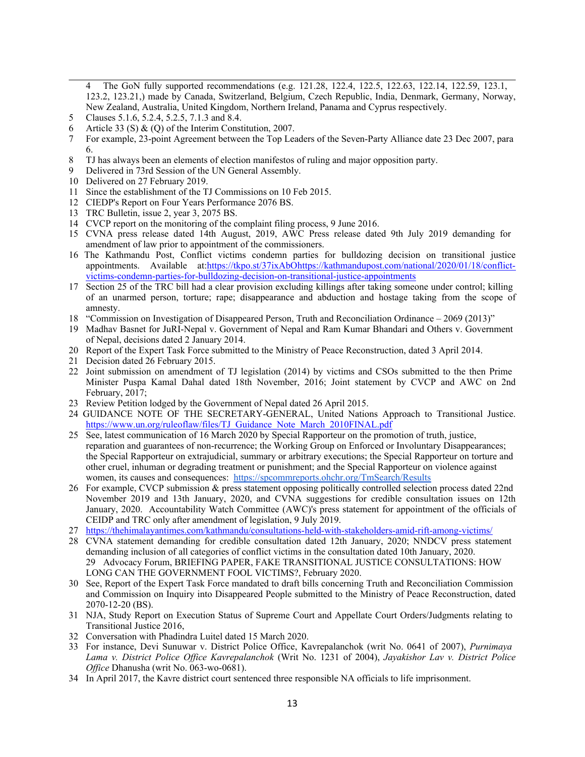- The GoN fully supported recommendations (e.g. 121.28, 122.4, 122.5, 122.63, 122.14, 122.59, 123.1, 123.2, 123.21,) made by Canada, Switzerland, Belgium, Czech Republic, India, Denmark, Germany, Norway, New Zealand, Australia, United Kingdom, Northern Ireland, Panama and Cyprus respectively.
- 5 Clauses 5.1.6, 5.2.4, 5.2.5, 7.1.3 and 8.4.
- 6 Article 33 (S) & (Q) of the Interim Constitution, 2007.
- 7 For example, 23-point Agreement between the Top Leaders of the Seven-Party Alliance date 23 Dec 2007, para 6.
- 8 TJ has always been an elements of election manifestos of ruling and major opposition party.
- 9 Delivered in 73rd Session of the UN General Assembly.
- 10 Delivered on 27 February 2019.
- 11 Since the establishment of the TJ Commissions on 10 Feb 2015.
- 12 CIEDP's Report on Four Years Performance 2076 BS.
- 13 TRC Bulletin, issue 2, year 3, 2075 BS.
- 14 CVCP repor<sup>t</sup> on the monitoring of the complaint filing process, 9 June 2016.
- 15 CVNA press release dated 14th August, 2019, AWC Press release dated 9th July 2019 demanding for amendment of law prior to appointment of the commissioners.
- 16 The Kathmandu Post, Conflict victims condemn parties for bulldozing decision on transitional justice appointments. Available at:<https://tkpo.st/37ixAbO>[https://kathmandupost.com/national/2020/01/18/conflict](https://kathmandupost.com/national/2020/01/18/conflict-victims-condemn-parties-for-bulldozing-decision-on-transitional-justice-appointments)[victims-condemn-parties-for-bulldozing-decision-on-transitional-justice-appointments](https://kathmandupost.com/national/2020/01/18/conflict-victims-condemn-parties-for-bulldozing-decision-on-transitional-justice-appointments)
- 17 Section 25 of the TRC bill had <sup>a</sup> clear provision excluding killings after taking someone under control; killing of an unarmed person, torture; rape; disappearance and abduction and hostage taking from the scope of amnesty.
- 18 "Commission on Investigation of Disappeared Person, Truth and Reconciliation Ordinance 2069 (2013)"
- 19 Madhav Basnet for JuRI-Nepal v. Government of Nepal and Ram Kumar Bhandari and Others v. Government of Nepal, decisions dated 2 January 2014.
- 20 Report of the Expert Task Force submitted to the Ministry of Peace Reconstruction, dated 3 April 2014.
- 21 Decision dated 26 February 2015.
- 22 Joint submission on amendment of TJ legislation (2014) by victims and CSOs submitted to the then Prime Minister Puspa Kamal Dahal dated 18th November, 2016; Joint statement by CVCP and AWC on 2nd February, 2017;
- 23 Review Petition lodged by the Government of Nepal dated 26 April 2015.
- 24 GUIDANCE NOTE OF THE SECRETARY-GENERAL, United Nations Approach to Transitional Justice. [https://www.un.org/ruleoflaw/files/TJ\\_Guidance\\_Note\\_March\\_2010FINAL.pdf](https://www.un.org/ruleoflaw/files/TJ_Guidance_Note_March_2010FINAL.pdf)
- 25 See, latest communication of 16 March 2020 by Special Rapporteur on the promotion of truth, justice, reparation and guarantees of non-recurrence; the Working Group on Enforced or Involuntary Disappearances; the Special Rapporteur on extrajudicial, summary or arbitrary executions; the Special Rapporteur on torture and other cruel, inhuman or degrading treatment or punishment; and the Special Rapporteur on violence against women, its causes and consequences: <https://spcommreports.ohchr.org/TmSearch/Results>
- 26 For example, CVCP submission & press statement opposing politically controlled selection process dated 22nd November 2019 and 13th January, 2020, and CVNA suggestions for credible consultation issues on 12th January, 2020. Accountability Watch Committee (AWC)'s press statement for appointment of the officials of CEIDP and TRC only after amendment of legislation, 9 July 2019.
- 27 <https://thehimalayantimes.com/kathmandu/consultations-held-with-stakeholders-amid-rift-among-victims/>
- 28 CVNA statement demanding for credible consultation dated 12th January, 2020; NNDCV press statement demanding inclusion of all categories of conflict victims in the consultation dated 10th January, 2020. 29 Advocacy Forum, BRIEFING PAPER, FAKE TRANSITIONAL JUSTICE CONSULTATIONS: HOW LONG CAN THE GOVERNMENT FOOL VICTIMS?, February 2020.
- 30 See, Report of the Expert Task Force mandated to draft bills concerning Truth and Reconciliation Commission and Commission on Inquiry into Disappeared People submitted to the Ministry of Peace Reconstruction, dated 2070-12-20 (BS).
- 31 NJA, Study Report on Execution Status of Supreme Court and Appellate Court Orders/Judgments relating to Transitional Justice 2016,
- 32 Conversation with Phadindra Luitel dated 15 March 2020.
- 33 For instance, Devi Sunuwar v. District Police Office, Kavrepalanchok (writ No. 0641 of 2007), *Purnimaya Lama v. District Police Office Kavrepalanchok* (Writ No. 1231 of 2004), *Jayakishor Lav v. District Police Office* Dhanusha (writ No. 063-wo-0681).
- 34 In April 2017, the Kavre district court sentenced three responsible NA officials to life imprisonment.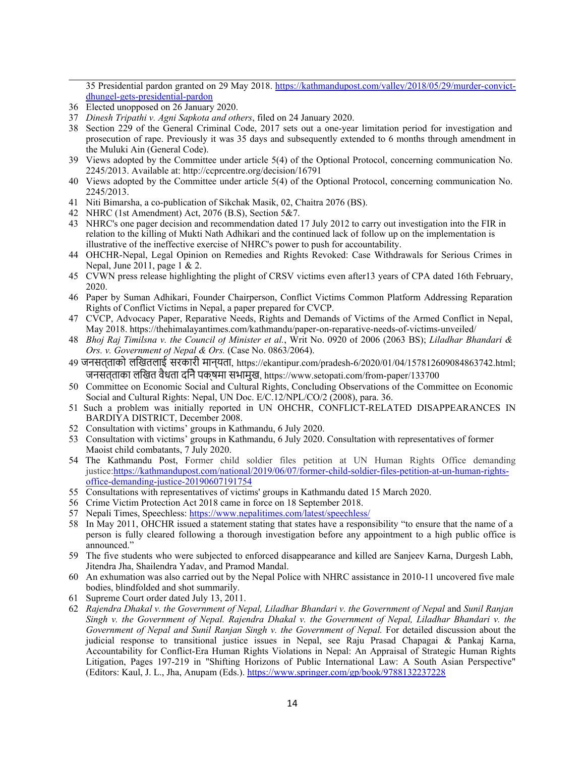35 Presidential pardon granted on 29 May 2018. [https://kathmandupost.com/valley/2018/05/29/murder-convict](https://kathmandupost.com/valley/2018/05/29/murder-convict-dhungel-gets-presidential-pardon)[dhungel-gets-presidential-pardon](https://kathmandupost.com/valley/2018/05/29/murder-convict-dhungel-gets-presidential-pardon)

- 36 Elected unopposed on 26 January 2020.
- 37 *Dinesh Tripathi v. Agni Sapkota and others*, filed on 24 January 2020.
- 38 Section 229 of the General Criminal Code, 2017 sets out <sup>a</sup> one-year limitation period for investigation and prosecution of rape. Previously it was 35 days and subsequently extended to 6 months through amendment in the Muluki Ain (General Code).
- 39 Views adopted by the Committee under article 5(4) of the Optional Protocol, concerning communication No. 2245/2013. Available at: http://ccprcentre.org/decision/16791
- 40 Views adopted by the Committee under article 5(4) of the Optional Protocol, concerning communication No. 2245/2013.
- 41 Niti Bimarsha, <sup>a</sup> co-publication of Sikchak Masik, 02, Chaitra 2076 (BS).
- 42 NHRC (1st Amendment) Act, 2076 (B.S), Section 5&7.
- 43 NHRC's one pager decision and recommendation dated 17 July 2012 to carry out investigation into the FIR in relation to the killing of Mukti Nath Adhikari and the continued lack of follow up on the implementation is illustrative of the ineffective exercise of NHRC's power to push for accountability.
- 44 OHCHR-Nepal, Legal Opinion on Remedies and Rights Revoked: Case Withdrawals for Serious Crimes in Nepal, June 2011, page 1 & 2.
- 45 CVWN press release highlighting the plight of CRSV victims even after13 years of CPA dated 16th February, 2020.
- 46 Paper by Suman Adhikari, Founder Chairperson, Conflict Victims Common Platform Addressing Reparation Rights of Conflict Victims in Nepal, <sup>a</sup> paper prepared for CVCP.
- 47 CVCP, Advocacy Paper, Reparative Needs, Rights and Demands of Victims of the Armed Conflict in Nepal, May 2018. https://thehimalayantimes.com/kathmandu/paper-on-reparative-needs-of-victims-unveiled/
- 48 *Bhoj Raj Timilsna v. the Council of Minister et al.*, Writ No. 0920 of 2006 (2063 BS); *Liladhar Bhandari & Ors. v. Government of Nepal &Ors.* (Case No. 0863/2064).
- <sup>49</sup> जनसत्ताको लिखतलाई सरकारी मान्यता, https://ekantipur.com/pradesh-6/2020/01/04/157812609084863742.html; जनसत्ताका लिखत वैधता दिनेपक्षमा सभामुख, https://www.setopati.com/from-paper/133700
- 50 Committee on Economic Social and Cultural Rights, Concluding Observations of the Committee on Economic Social and Cultural Rights: Nepal, UN Doc. E/C.12/NPL/CO/2 (2008), para. 36.
- 51 Such <sup>a</sup> problem was initially reported in UN OHCHR, CONFLICT-RELATED DISAPPEARANCES IN BARDIYA DISTRICT, December 2008.
- 52 Consultation with victims' groups in Kathmandu, 6 July 2020.
- 53 Consultation with victims' groups in Kathmandu, 6 July 2020. Consultation with representatives of former Maoist child combatants, 7 July 2020.
- 54 The Kathmandu Post, Former child soldier files petition at UN Human Rights Office demanding justice:[https://kathmandupost.com/national/2019/06/07/former-child-soldier-files-petition-at-un-human-rights](https://kathmandupost.com/national/2019/06/07/former-child-soldier-files-petition-at-un-human-rights-office-demanding-justice-20190607191754)[office-demanding-justice-20190607191754](https://kathmandupost.com/national/2019/06/07/former-child-soldier-files-petition-at-un-human-rights-office-demanding-justice-20190607191754)
- 55 Consultations with representatives of victims' groups in Kathmandu dated 15 March 2020.
- 56 Crime Victim Protection Act 2018 came in force on 18 September 2018.
- 57 Nepali Times, Speechless: <https://www.nepalitimes.com/latest/speechless/>
- 58 In May 2011, OHCHR issued <sup>a</sup> [statement](https://nepal.ohchr.org/en/resources/Documents/English/pressreleases/Year%202011/May/2011_05_05_PR_Agni_Sapkota_E.pdf) stating that states have <sup>a</sup> responsibility "to ensure that the name of <sup>a</sup> person is fully cleared following <sup>a</sup> thorough investigation before any appointment to <sup>a</sup> high public office is announced."
- 59 The five students who were subjected to enforced disappearance and killed are Sanjeev Karna, Durgesh Labh, Jitendra Jha, Shailendra Yadav, and Pramod Mandal.
- 60 An exhumation was also carried out by the Nepal Police with NHRC assistance in 2010-11 uncovered five male bodies, blindfolded and shot summarily.
- 61 Supreme Court order dated July 13, 2011.
- 62 *Rajendra Dhakal v. the Government of Nepal, Liladhar Bhandari v. the Government of Nepal* and *Sunil Ranjan Singh v. the Government of Nepal. Rajendra Dhakal v. the Government of Nepal, Liladhar Bhandari v. the Government of Nepal and Sunil Ranjan Singh v. the Government of Nepal.* For detailed discussion about the judicial response to transitional justice issues in Nepal, see Raju Prasad Chapagai & Pankaj Karna, Accountability for Conflict-Era Human Rights Violations in Nepal: An Appraisal of Strategic Human Rights Litigation, Pages 197-219 in "Shifting Horizons of Public International Law: A South Asian Perspective" (Editors: Kaul, J. L., Jha, Anupam (Eds.). <https://www.springer.com/gp/book/9788132237228>